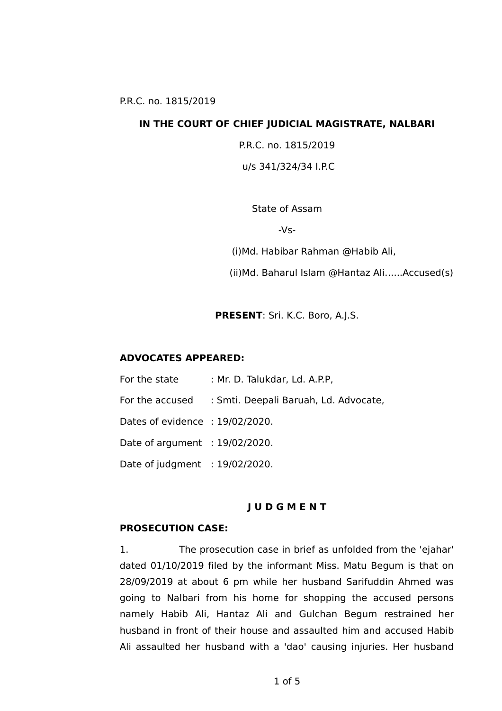#### **IN THE COURT OF CHIEF JUDICIAL MAGISTRATE, NALBARI**

P.R.C. no. 1815/2019

u/s 341/324/34 I.P.C

State of Assam

 $-Vs-$ 

(i)Md. Habibar Rahman @Habib Ali,

(ii)Md. Baharul Islam @Hantaz Ali......Accused(s)

**PRESENT**: Sri. K.C. Boro, A.J.S.

#### **ADVOCATES APPEARED:**

| For the state                     | : Mr. D. Talukdar, Ld. A.P.P,         |
|-----------------------------------|---------------------------------------|
| For the accused                   | : Smti. Deepali Baruah, Ld. Advocate, |
| Dates of evidence: 19/02/2020.    |                                       |
| Date of argument : $19/02/2020$ . |                                       |
| Date of judgment $: 19/02/2020$ . |                                       |

### **J U D G M E N T**

#### **PROSECUTION CASE:**

1. The prosecution case in brief as unfolded from the 'ejahar' dated 01/10/2019 filed by the informant Miss. Matu Begum is that on 28/09/2019 at about 6 pm while her husband Sarifuddin Ahmed was going to Nalbari from his home for shopping the accused persons namely Habib Ali, Hantaz Ali and Gulchan Begum restrained her husband in front of their house and assaulted him and accused Habib Ali assaulted her husband with a 'dao' causing injuries. Her husband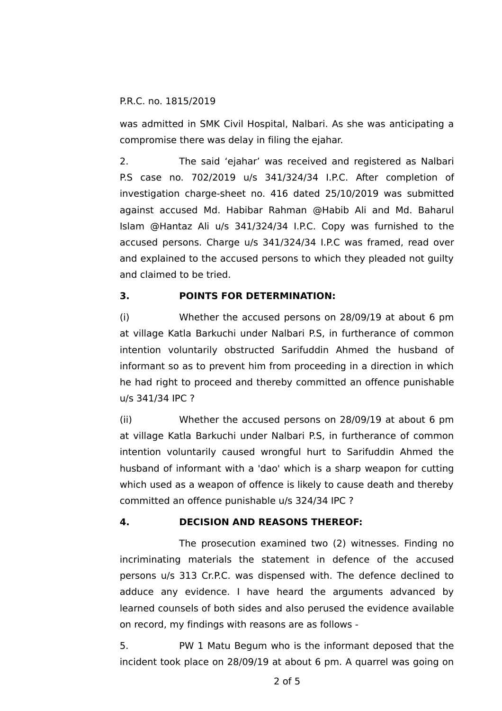was admitted in SMK Civil Hospital, Nalbari. As she was anticipating a compromise there was delay in filing the ejahar.

2. The said 'ejahar' was received and registered as Nalbari P.S case no. 702/2019 u/s 341/324/34 I.P.C. After completion of investigation charge-sheet no. 416 dated 25/10/2019 was submitted against accused Md. Habibar Rahman @Habib Ali and Md. Baharul Islam @Hantaz Ali u/s 341/324/34 I.P.C. Copy was furnished to the accused persons. Charge u/s 341/324/34 I.P.C was framed, read over and explained to the accused persons to which they pleaded not guilty and claimed to be tried.

# **3. POINTS FOR DETERMINATION:**

(i) Whether the accused persons on 28/09/19 at about 6 pm at village Katla Barkuchi under Nalbari P.S, in furtherance of common intention voluntarily obstructed Sarifuddin Ahmed the husband of informant so as to prevent him from proceeding in a direction in which he had right to proceed and thereby committed an offence punishable u/s 341/34 IPC ?

(ii) Whether the accused persons on 28/09/19 at about 6 pm at village Katla Barkuchi under Nalbari P.S, in furtherance of common intention voluntarily caused wrongful hurt to Sarifuddin Ahmed the husband of informant with a 'dao' which is a sharp weapon for cutting which used as a weapon of offence is likely to cause death and thereby committed an offence punishable u/s 324/34 IPC ?

# **4. DECISION AND REASONS THEREOF:**

The prosecution examined two (2) witnesses. Finding no incriminating materials the statement in defence of the accused persons u/s 313 Cr.P.C. was dispensed with. The defence declined to adduce any evidence. I have heard the arguments advanced by learned counsels of both sides and also perused the evidence available on record, my findings with reasons are as follows -

5. PW 1 Matu Begum who is the informant deposed that the incident took place on 28/09/19 at about 6 pm. A quarrel was going on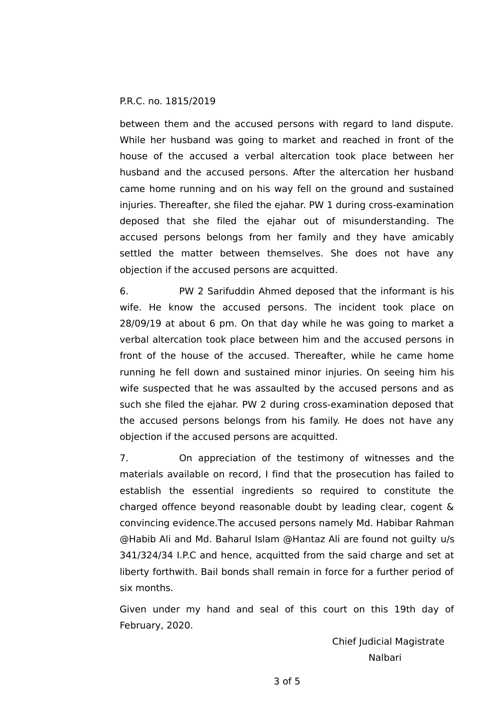between them and the accused persons with regard to land dispute. While her husband was going to market and reached in front of the house of the accused a verbal altercation took place between her husband and the accused persons. After the altercation her husband came home running and on his way fell on the ground and sustained injuries. Thereafter, she filed the ejahar. PW 1 during cross-examination deposed that she filed the ejahar out of misunderstanding. The accused persons belongs from her family and they have amicably settled the matter between themselves. She does not have any objection if the accused persons are acquitted.

6. PW 2 Sarifuddin Ahmed deposed that the informant is his wife. He know the accused persons. The incident took place on 28/09/19 at about 6 pm. On that day while he was going to market a verbal altercation took place between him and the accused persons in front of the house of the accused. Thereafter, while he came home running he fell down and sustained minor injuries. On seeing him his wife suspected that he was assaulted by the accused persons and as such she filed the ejahar. PW 2 during cross-examination deposed that the accused persons belongs from his family. He does not have any objection if the accused persons are acquitted.

7. On appreciation of the testimony of witnesses and the materials available on record, I find that the prosecution has failed to establish the essential ingredients so required to constitute the charged offence beyond reasonable doubt by leading clear, cogent & convincing evidence.The accused persons namely Md. Habibar Rahman @Habib Ali and Md. Baharul Islam @Hantaz Ali are found not guilty u/s 341/324/34 I.P.C and hence, acquitted from the said charge and set at liberty forthwith. Bail bonds shall remain in force for a further period of six months.

Given under my hand and seal of this court on this 19th day of February, 2020.

> Chief Judicial Magistrate Nalbari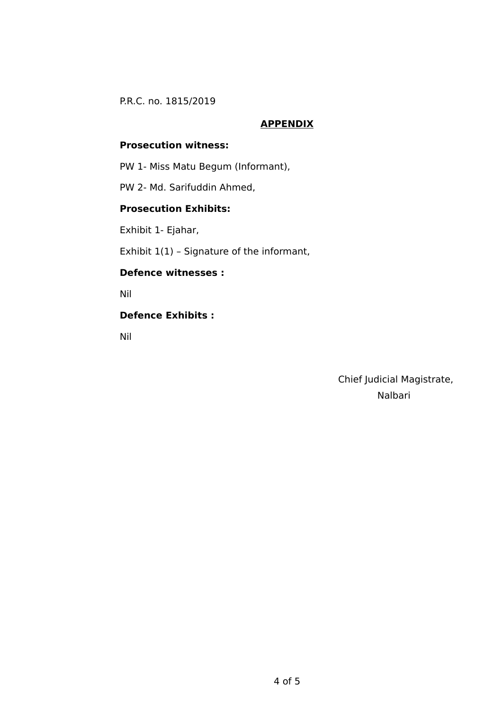## **APPENDIX**

# **Prosecution witness:**

PW 1- Miss Matu Begum (Informant),

PW 2- Md. Sarifuddin Ahmed,

# **Prosecution Exhibits:**

Exhibit 1- Ejahar,

Exhibit 1(1) – Signature of the informant,

### **Defence witnesses :**

Nil

## **Defence Exhibits :**

Nil

 Chief Judicial Magistrate, Nalbari